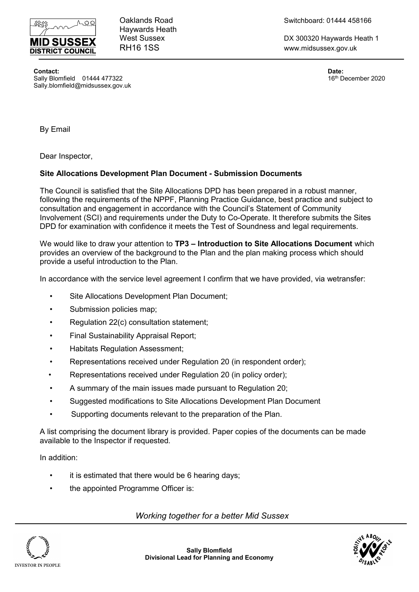

Haywards Heath

Oaklands Road Switchboard: 01444 458166

West Sussex **DX 300320 Haywards Heath 1** RH16 1SS www.midsussex.gov.uk

**Contact: Date:** Sally Blomfield 01444 477322 **16th December 2020** 16th December 2020 Sally.blomfield@midsussex.gov.uk

By Email

Dear Inspector,

## **Site Allocations Development Plan Document - Submission Documents**

The Council is satisfied that the Site Allocations DPD has been prepared in a robust manner, following the requirements of the NPPF, Planning Practice Guidance, best practice and subject to consultation and engagement in accordance with the Council's Statement of Community Involvement (SCI) and requirements under the Duty to Co-Operate. It therefore submits the Sites DPD for examination with confidence it meets the Test of Soundness and legal requirements.

We would like to draw your attention to **TP3 – Introduction to Site Allocations Document** which provides an overview of the background to the Plan and the plan making process which should provide a useful introduction to the Plan.

In accordance with the service level agreement I confirm that we have provided, via wetransfer:

- Site Allocations Development Plan Document;
- Submission policies map;
- Regulation 22(c) consultation statement;
- Final Sustainability Appraisal Report;
- Habitats Regulation Assessment;
- Representations received under Regulation 20 (in respondent order);
- Representations received under Regulation 20 (in policy order);
- A summary of the main issues made pursuant to Regulation 20;
- Suggested modifications to Site Allocations Development Plan Document
- Supporting documents relevant to the preparation of the Plan.

A list comprising the document library is provided. Paper copies of the documents can be made available to the Inspector if requested.

In addition:

- it is estimated that there would be 6 hearing days;
- the appointed Programme Officer is:

*Working together for a better Mid Sussex*